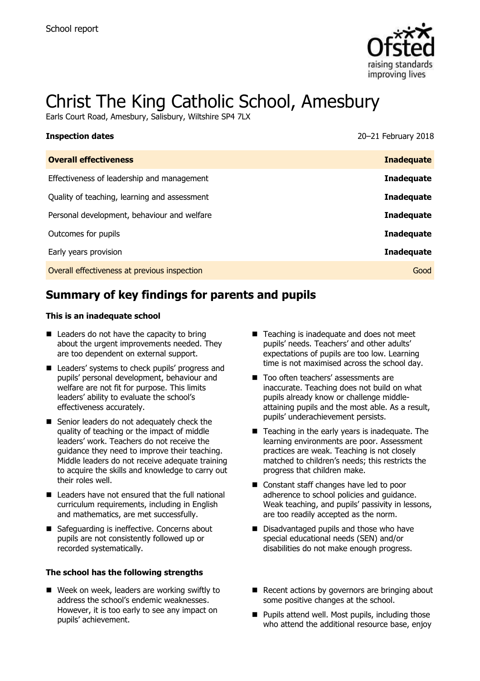

# Christ The King Catholic School, Amesbury

Earls Court Road, Amesbury, Salisbury, Wiltshire SP4 7LX

| <b>Inspection dates</b>                      | 20-21 February 2018 |
|----------------------------------------------|---------------------|
| <b>Overall effectiveness</b>                 | <b>Inadequate</b>   |
| Effectiveness of leadership and management   | <b>Inadequate</b>   |
| Quality of teaching, learning and assessment | <b>Inadequate</b>   |
| Personal development, behaviour and welfare  | <b>Inadequate</b>   |
| Outcomes for pupils                          | <b>Inadequate</b>   |
| Early years provision                        | <b>Inadequate</b>   |
| Overall effectiveness at previous inspection | Good                |

# **Summary of key findings for parents and pupils**

#### **This is an inadequate school**

- $\blacksquare$  Leaders do not have the capacity to bring about the urgent improvements needed. They are too dependent on external support.
- Leaders' systems to check pupils' progress and pupils' personal development, behaviour and welfare are not fit for purpose. This limits leaders' ability to evaluate the school's effectiveness accurately.
- Senior leaders do not adequately check the quality of teaching or the impact of middle leaders' work. Teachers do not receive the guidance they need to improve their teaching. Middle leaders do not receive adequate training to acquire the skills and knowledge to carry out their roles well.
- Leaders have not ensured that the full national curriculum requirements, including in English and mathematics, are met successfully.
- Safeguarding is ineffective. Concerns about pupils are not consistently followed up or recorded systematically.

#### **The school has the following strengths**

■ Week on week, leaders are working swiftly to address the school's endemic weaknesses. However, it is too early to see any impact on pupils' achievement.

- Teaching is inadequate and does not meet pupils' needs. Teachers' and other adults' expectations of pupils are too low. Learning time is not maximised across the school day.
- Too often teachers' assessments are inaccurate. Teaching does not build on what pupils already know or challenge middleattaining pupils and the most able. As a result, pupils' underachievement persists.
- Teaching in the early years is inadequate. The learning environments are poor. Assessment practices are weak. Teaching is not closely matched to children's needs; this restricts the progress that children make.
- Constant staff changes have led to poor adherence to school policies and guidance. Weak teaching, and pupils' passivity in lessons, are too readily accepted as the norm.
- Disadvantaged pupils and those who have special educational needs (SEN) and/or disabilities do not make enough progress.
- Recent actions by governors are bringing about some positive changes at the school.
- $\blacksquare$  Pupils attend well. Most pupils, including those who attend the additional resource base, enjoy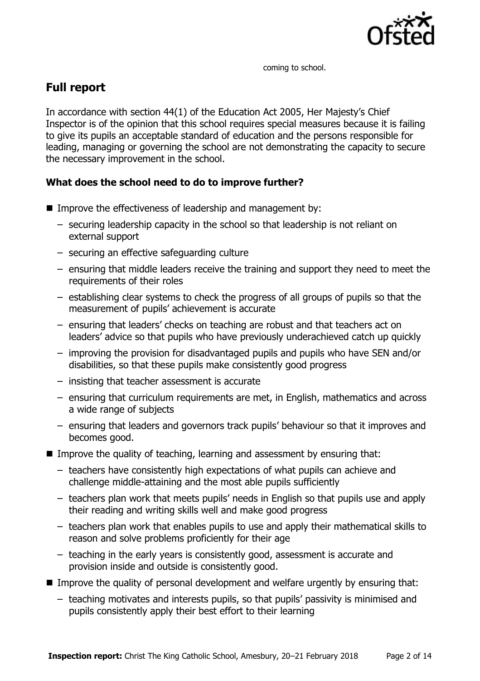

coming to school.

# **Full report**

In accordance with section 44(1) of the Education Act 2005, Her Majesty's Chief Inspector is of the opinion that this school requires special measures because it is failing to give its pupils an acceptable standard of education and the persons responsible for leading, managing or governing the school are not demonstrating the capacity to secure the necessary improvement in the school.

### **What does the school need to do to improve further?**

- Improve the effectiveness of leadership and management by:
	- securing leadership capacity in the school so that leadership is not reliant on external support
	- securing an effective safeguarding culture
	- ensuring that middle leaders receive the training and support they need to meet the requirements of their roles
	- establishing clear systems to check the progress of all groups of pupils so that the measurement of pupils' achievement is accurate
	- ensuring that leaders' checks on teaching are robust and that teachers act on leaders' advice so that pupils who have previously underachieved catch up quickly
	- improving the provision for disadvantaged pupils and pupils who have SEN and/or disabilities, so that these pupils make consistently good progress
	- insisting that teacher assessment is accurate
	- ensuring that curriculum requirements are met, in English, mathematics and across a wide range of subjects
	- ensuring that leaders and governors track pupils' behaviour so that it improves and becomes good.
- Improve the quality of teaching, learning and assessment by ensuring that:
	- teachers have consistently high expectations of what pupils can achieve and challenge middle-attaining and the most able pupils sufficiently
	- teachers plan work that meets pupils' needs in English so that pupils use and apply their reading and writing skills well and make good progress
	- teachers plan work that enables pupils to use and apply their mathematical skills to reason and solve problems proficiently for their age
	- teaching in the early years is consistently good, assessment is accurate and provision inside and outside is consistently good.
- Improve the quality of personal development and welfare urgently by ensuring that:
	- teaching motivates and interests pupils, so that pupils' passivity is minimised and pupils consistently apply their best effort to their learning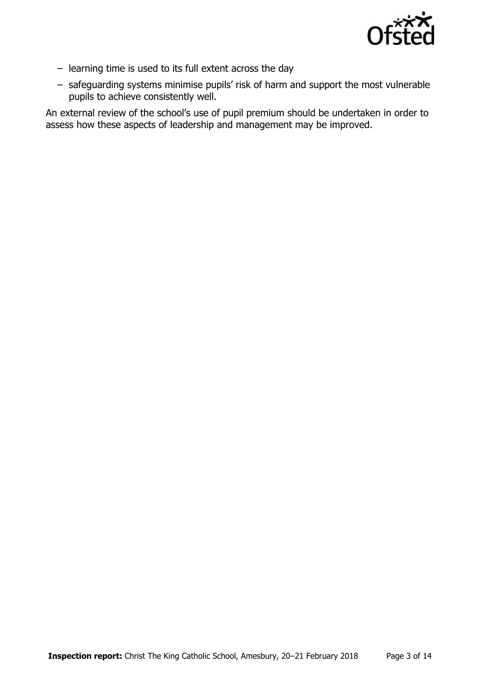

- learning time is used to its full extent across the day
- safeguarding systems minimise pupils' risk of harm and support the most vulnerable pupils to achieve consistently well.

An external review of the school's use of pupil premium should be undertaken in order to assess how these aspects of leadership and management may be improved.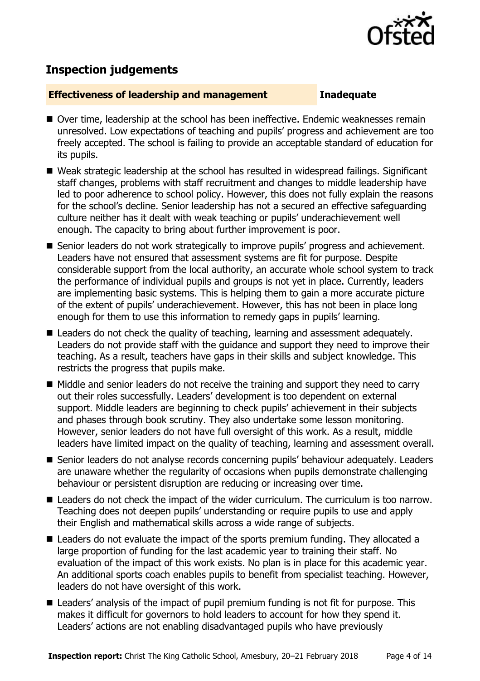

# **Inspection judgements**

#### **Effectiveness of leadership and management Inadequate**

- Over time, leadership at the school has been ineffective. Endemic weaknesses remain unresolved. Low expectations of teaching and pupils' progress and achievement are too freely accepted. The school is failing to provide an acceptable standard of education for its pupils.
- Weak strategic leadership at the school has resulted in widespread failings. Significant staff changes, problems with staff recruitment and changes to middle leadership have led to poor adherence to school policy. However, this does not fully explain the reasons for the school's decline. Senior leadership has not a secured an effective safeguarding culture neither has it dealt with weak teaching or pupils' underachievement well enough. The capacity to bring about further improvement is poor.
- Senior leaders do not work strategically to improve pupils' progress and achievement. Leaders have not ensured that assessment systems are fit for purpose. Despite considerable support from the local authority, an accurate whole school system to track the performance of individual pupils and groups is not yet in place. Currently, leaders are implementing basic systems. This is helping them to gain a more accurate picture of the extent of pupils' underachievement. However, this has not been in place long enough for them to use this information to remedy gaps in pupils' learning.
- Leaders do not check the quality of teaching, learning and assessment adequately. Leaders do not provide staff with the guidance and support they need to improve their teaching. As a result, teachers have gaps in their skills and subject knowledge. This restricts the progress that pupils make.
- Middle and senior leaders do not receive the training and support they need to carry out their roles successfully. Leaders' development is too dependent on external support. Middle leaders are beginning to check pupils' achievement in their subjects and phases through book scrutiny. They also undertake some lesson monitoring. However, senior leaders do not have full oversight of this work. As a result, middle leaders have limited impact on the quality of teaching, learning and assessment overall.
- Senior leaders do not analyse records concerning pupils' behaviour adequately. Leaders are unaware whether the regularity of occasions when pupils demonstrate challenging behaviour or persistent disruption are reducing or increasing over time.
- Leaders do not check the impact of the wider curriculum. The curriculum is too narrow. Teaching does not deepen pupils' understanding or require pupils to use and apply their English and mathematical skills across a wide range of subjects.
- Leaders do not evaluate the impact of the sports premium funding. They allocated a large proportion of funding for the last academic year to training their staff. No evaluation of the impact of this work exists. No plan is in place for this academic year. An additional sports coach enables pupils to benefit from specialist teaching. However, leaders do not have oversight of this work.
- Leaders' analysis of the impact of pupil premium funding is not fit for purpose. This makes it difficult for governors to hold leaders to account for how they spend it. Leaders' actions are not enabling disadvantaged pupils who have previously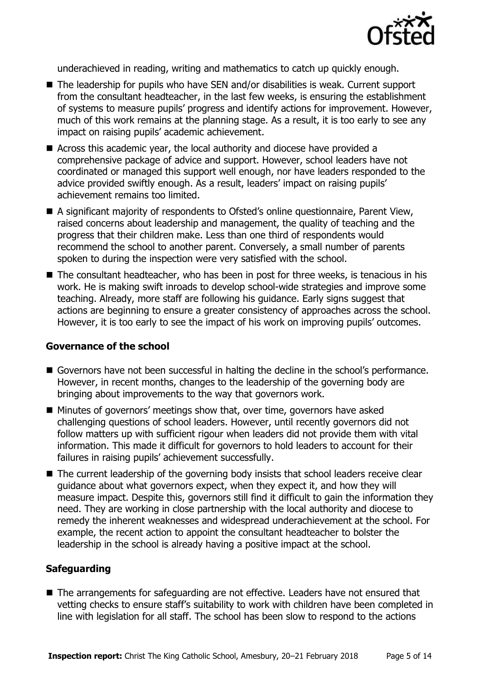

underachieved in reading, writing and mathematics to catch up quickly enough.

- The leadership for pupils who have SEN and/or disabilities is weak. Current support from the consultant headteacher, in the last few weeks, is ensuring the establishment of systems to measure pupils' progress and identify actions for improvement. However, much of this work remains at the planning stage. As a result, it is too early to see any impact on raising pupils' academic achievement.
- Across this academic year, the local authority and diocese have provided a comprehensive package of advice and support. However, school leaders have not coordinated or managed this support well enough, nor have leaders responded to the advice provided swiftly enough. As a result, leaders' impact on raising pupils' achievement remains too limited.
- A significant majority of respondents to Ofsted's online questionnaire, Parent View, raised concerns about leadership and management, the quality of teaching and the progress that their children make. Less than one third of respondents would recommend the school to another parent. Conversely, a small number of parents spoken to during the inspection were very satisfied with the school.
- The consultant headteacher, who has been in post for three weeks, is tenacious in his work. He is making swift inroads to develop school-wide strategies and improve some teaching. Already, more staff are following his guidance. Early signs suggest that actions are beginning to ensure a greater consistency of approaches across the school. However, it is too early to see the impact of his work on improving pupils' outcomes.

#### **Governance of the school**

- Governors have not been successful in halting the decline in the school's performance. However, in recent months, changes to the leadership of the governing body are bringing about improvements to the way that governors work.
- Minutes of governors' meetings show that, over time, governors have asked challenging questions of school leaders. However, until recently governors did not follow matters up with sufficient rigour when leaders did not provide them with vital information. This made it difficult for governors to hold leaders to account for their failures in raising pupils' achievement successfully.
- The current leadership of the governing body insists that school leaders receive clear guidance about what governors expect, when they expect it, and how they will measure impact. Despite this, governors still find it difficult to gain the information they need. They are working in close partnership with the local authority and diocese to remedy the inherent weaknesses and widespread underachievement at the school. For example, the recent action to appoint the consultant headteacher to bolster the leadership in the school is already having a positive impact at the school.

#### **Safeguarding**

■ The arrangements for safeguarding are not effective. Leaders have not ensured that vetting checks to ensure staff's suitability to work with children have been completed in line with legislation for all staff. The school has been slow to respond to the actions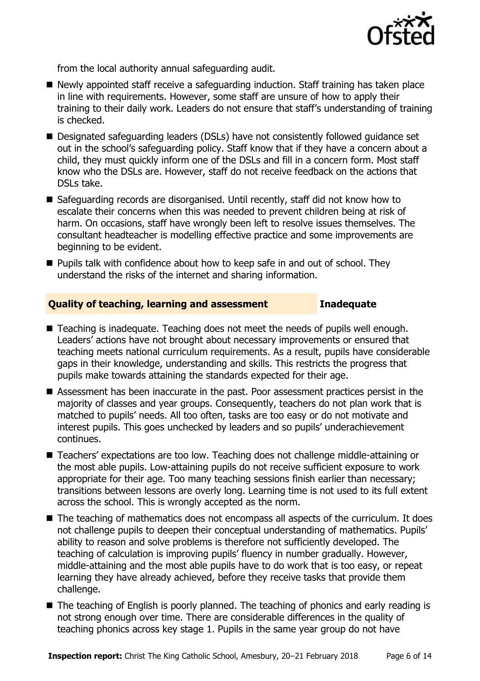

from the local authority annual safeguarding audit.

- Newly appointed staff receive a safeguarding induction. Staff training has taken place in line with requirements. However, some staff are unsure of how to apply their training to their daily work. Leaders do not ensure that staff's understanding of training is checked.
- Designated safeguarding leaders (DSLs) have not consistently followed guidance set out in the school's safeguarding policy. Staff know that if they have a concern about a child, they must quickly inform one of the DSLs and fill in a concern form. Most staff know who the DSLs are. However, staff do not receive feedback on the actions that DSLs take.
- Safeguarding records are disorganised. Until recently, staff did not know how to escalate their concerns when this was needed to prevent children being at risk of harm. On occasions, staff have wrongly been left to resolve issues themselves. The consultant headteacher is modelling effective practice and some improvements are beginning to be evident.
- **Pupils talk with confidence about how to keep safe in and out of school. They** understand the risks of the internet and sharing information.

### **Quality of teaching, learning and assessment Inadequate**

- Teaching is inadequate. Teaching does not meet the needs of pupils well enough. Leaders' actions have not brought about necessary improvements or ensured that teaching meets national curriculum requirements. As a result, pupils have considerable gaps in their knowledge, understanding and skills. This restricts the progress that pupils make towards attaining the standards expected for their age.
- Assessment has been inaccurate in the past. Poor assessment practices persist in the majority of classes and year groups. Consequently, teachers do not plan work that is matched to pupils' needs. All too often, tasks are too easy or do not motivate and interest pupils. This goes unchecked by leaders and so pupils' underachievement continues.
- Teachers' expectations are too low. Teaching does not challenge middle-attaining or the most able pupils. Low-attaining pupils do not receive sufficient exposure to work appropriate for their age. Too many teaching sessions finish earlier than necessary; transitions between lessons are overly long. Learning time is not used to its full extent across the school. This is wrongly accepted as the norm.
- The teaching of mathematics does not encompass all aspects of the curriculum. It does not challenge pupils to deepen their conceptual understanding of mathematics. Pupils' ability to reason and solve problems is therefore not sufficiently developed. The teaching of calculation is improving pupils' fluency in number gradually. However, middle-attaining and the most able pupils have to do work that is too easy, or repeat learning they have already achieved, before they receive tasks that provide them challenge.
- The teaching of English is poorly planned. The teaching of phonics and early reading is not strong enough over time. There are considerable differences in the quality of teaching phonics across key stage 1. Pupils in the same year group do not have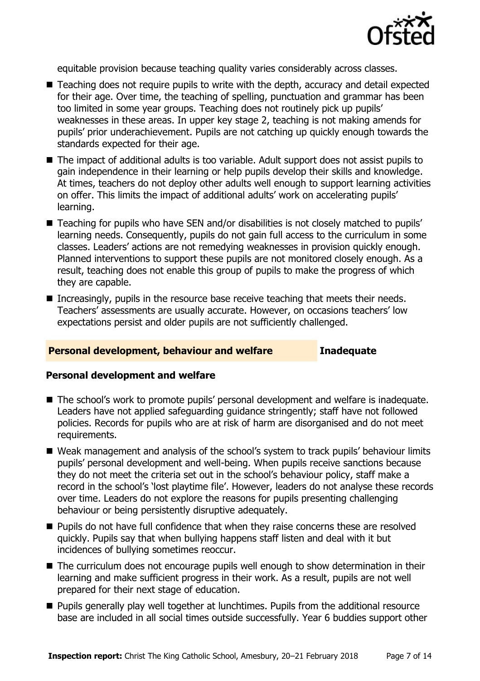

equitable provision because teaching quality varies considerably across classes.

- Teaching does not require pupils to write with the depth, accuracy and detail expected for their age. Over time, the teaching of spelling, punctuation and grammar has been too limited in some year groups. Teaching does not routinely pick up pupils' weaknesses in these areas. In upper key stage 2, teaching is not making amends for pupils' prior underachievement. Pupils are not catching up quickly enough towards the standards expected for their age.
- The impact of additional adults is too variable. Adult support does not assist pupils to gain independence in their learning or help pupils develop their skills and knowledge. At times, teachers do not deploy other adults well enough to support learning activities on offer. This limits the impact of additional adults' work on accelerating pupils' learning.
- Teaching for pupils who have SEN and/or disabilities is not closely matched to pupils' learning needs. Consequently, pupils do not gain full access to the curriculum in some classes. Leaders' actions are not remedying weaknesses in provision quickly enough. Planned interventions to support these pupils are not monitored closely enough. As a result, teaching does not enable this group of pupils to make the progress of which they are capable.
- Increasingly, pupils in the resource base receive teaching that meets their needs. Teachers' assessments are usually accurate. However, on occasions teachers' low expectations persist and older pupils are not sufficiently challenged.

### **Personal development, behaviour and welfare Inadequate**

#### **Personal development and welfare**

- The school's work to promote pupils' personal development and welfare is inadequate. Leaders have not applied safeguarding guidance stringently; staff have not followed policies. Records for pupils who are at risk of harm are disorganised and do not meet requirements.
- Weak management and analysis of the school's system to track pupils' behaviour limits pupils' personal development and well-being. When pupils receive sanctions because they do not meet the criteria set out in the school's behaviour policy, staff make a record in the school's 'lost playtime file'. However, leaders do not analyse these records over time. Leaders do not explore the reasons for pupils presenting challenging behaviour or being persistently disruptive adequately.
- **Pupils do not have full confidence that when they raise concerns these are resolved** quickly. Pupils say that when bullying happens staff listen and deal with it but incidences of bullying sometimes reoccur.
- The curriculum does not encourage pupils well enough to show determination in their learning and make sufficient progress in their work. As a result, pupils are not well prepared for their next stage of education.
- **Pupils generally play well together at lunchtimes. Pupils from the additional resource** base are included in all social times outside successfully. Year 6 buddies support other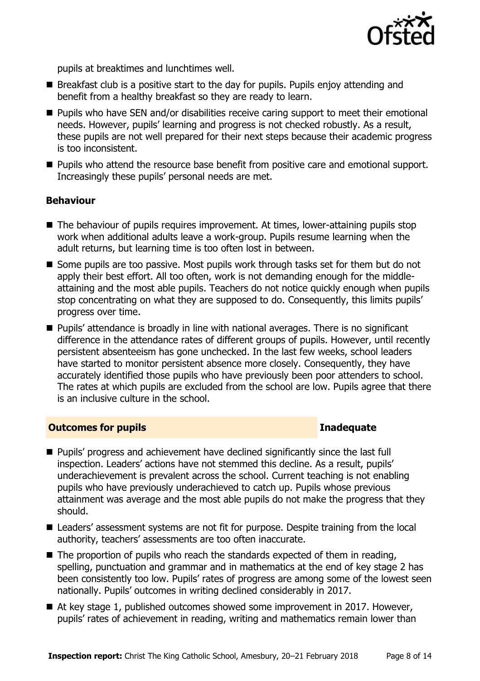

pupils at breaktimes and lunchtimes well.

- Breakfast club is a positive start to the day for pupils. Pupils enjoy attending and benefit from a healthy breakfast so they are ready to learn.
- **Pupils who have SEN and/or disabilities receive caring support to meet their emotional** needs. However, pupils' learning and progress is not checked robustly. As a result, these pupils are not well prepared for their next steps because their academic progress is too inconsistent.
- **Pupils who attend the resource base benefit from positive care and emotional support.** Increasingly these pupils' personal needs are met.

#### **Behaviour**

- The behaviour of pupils requires improvement. At times, lower-attaining pupils stop work when additional adults leave a work-group. Pupils resume learning when the adult returns, but learning time is too often lost in between.
- Some pupils are too passive. Most pupils work through tasks set for them but do not apply their best effort. All too often, work is not demanding enough for the middleattaining and the most able pupils. Teachers do not notice quickly enough when pupils stop concentrating on what they are supposed to do. Consequently, this limits pupils' progress over time.
- Pupils' attendance is broadly in line with national averages. There is no significant difference in the attendance rates of different groups of pupils. However, until recently persistent absenteeism has gone unchecked. In the last few weeks, school leaders have started to monitor persistent absence more closely. Consequently, they have accurately identified those pupils who have previously been poor attenders to school. The rates at which pupils are excluded from the school are low. Pupils agree that there is an inclusive culture in the school.

#### **Outcomes for pupils Inadequate**

- **Pupils' progress and achievement have declined significantly since the last full** inspection. Leaders' actions have not stemmed this decline. As a result, pupils' underachievement is prevalent across the school. Current teaching is not enabling pupils who have previously underachieved to catch up. Pupils whose previous attainment was average and the most able pupils do not make the progress that they should.
- Leaders' assessment systems are not fit for purpose. Despite training from the local authority, teachers' assessments are too often inaccurate.
- $\blacksquare$  The proportion of pupils who reach the standards expected of them in reading, spelling, punctuation and grammar and in mathematics at the end of key stage 2 has been consistently too low. Pupils' rates of progress are among some of the lowest seen nationally. Pupils' outcomes in writing declined considerably in 2017.
- At key stage 1, published outcomes showed some improvement in 2017. However, pupils' rates of achievement in reading, writing and mathematics remain lower than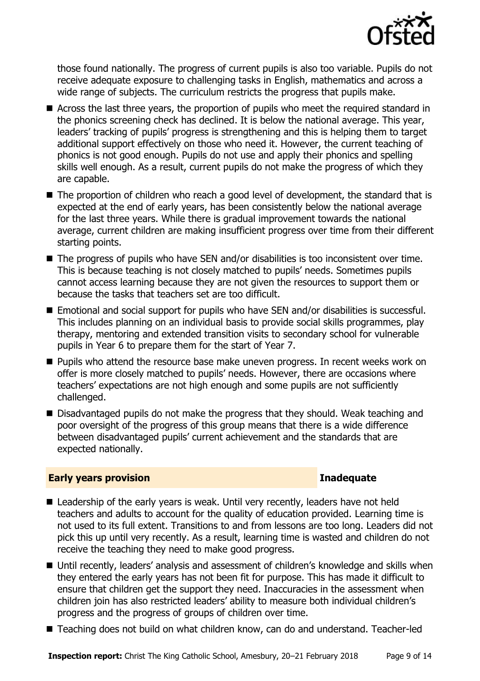

those found nationally. The progress of current pupils is also too variable. Pupils do not receive adequate exposure to challenging tasks in English, mathematics and across a wide range of subjects. The curriculum restricts the progress that pupils make.

- Across the last three years, the proportion of pupils who meet the required standard in the phonics screening check has declined. It is below the national average. This year, leaders' tracking of pupils' progress is strengthening and this is helping them to target additional support effectively on those who need it. However, the current teaching of phonics is not good enough. Pupils do not use and apply their phonics and spelling skills well enough. As a result, current pupils do not make the progress of which they are capable.
- The proportion of children who reach a good level of development, the standard that is expected at the end of early years, has been consistently below the national average for the last three years. While there is gradual improvement towards the national average, current children are making insufficient progress over time from their different starting points.
- The progress of pupils who have SEN and/or disabilities is too inconsistent over time. This is because teaching is not closely matched to pupils' needs. Sometimes pupils cannot access learning because they are not given the resources to support them or because the tasks that teachers set are too difficult.
- Emotional and social support for pupils who have SEN and/or disabilities is successful. This includes planning on an individual basis to provide social skills programmes, play therapy, mentoring and extended transition visits to secondary school for vulnerable pupils in Year 6 to prepare them for the start of Year 7.
- **Pupils who attend the resource base make uneven progress. In recent weeks work on** offer is more closely matched to pupils' needs. However, there are occasions where teachers' expectations are not high enough and some pupils are not sufficiently challenged.
- Disadvantaged pupils do not make the progress that they should. Weak teaching and poor oversight of the progress of this group means that there is a wide difference between disadvantaged pupils' current achievement and the standards that are expected nationally.

### **Early years provision Inadequate**

- Leadership of the early years is weak. Until very recently, leaders have not held teachers and adults to account for the quality of education provided. Learning time is not used to its full extent. Transitions to and from lessons are too long. Leaders did not pick this up until very recently. As a result, learning time is wasted and children do not receive the teaching they need to make good progress.
- Until recently, leaders' analysis and assessment of children's knowledge and skills when they entered the early years has not been fit for purpose. This has made it difficult to ensure that children get the support they need. Inaccuracies in the assessment when children join has also restricted leaders' ability to measure both individual children's progress and the progress of groups of children over time.
- Teaching does not build on what children know, can do and understand. Teacher-led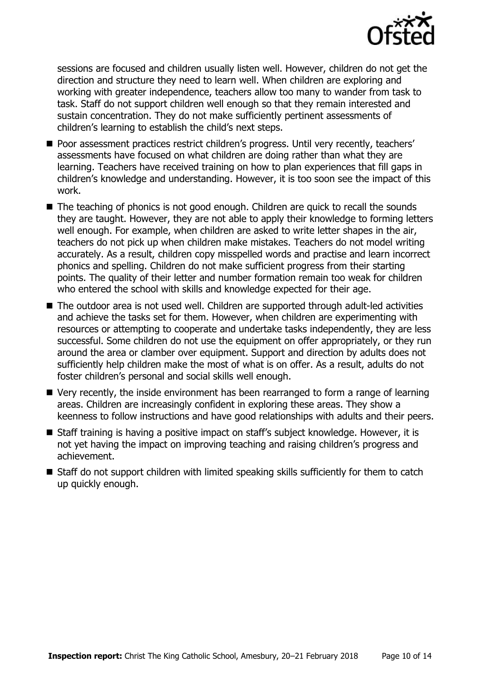

sessions are focused and children usually listen well. However, children do not get the direction and structure they need to learn well. When children are exploring and working with greater independence, teachers allow too many to wander from task to task. Staff do not support children well enough so that they remain interested and sustain concentration. They do not make sufficiently pertinent assessments of children's learning to establish the child's next steps.

- **Poor assessment practices restrict children's progress. Until very recently, teachers'** assessments have focused on what children are doing rather than what they are learning. Teachers have received training on how to plan experiences that fill gaps in children's knowledge and understanding. However, it is too soon see the impact of this work.
- The teaching of phonics is not good enough. Children are quick to recall the sounds they are taught. However, they are not able to apply their knowledge to forming letters well enough. For example, when children are asked to write letter shapes in the air, teachers do not pick up when children make mistakes. Teachers do not model writing accurately. As a result, children copy misspelled words and practise and learn incorrect phonics and spelling. Children do not make sufficient progress from their starting points. The quality of their letter and number formation remain too weak for children who entered the school with skills and knowledge expected for their age.
- The outdoor area is not used well. Children are supported through adult-led activities and achieve the tasks set for them. However, when children are experimenting with resources or attempting to cooperate and undertake tasks independently, they are less successful. Some children do not use the equipment on offer appropriately, or they run around the area or clamber over equipment. Support and direction by adults does not sufficiently help children make the most of what is on offer. As a result, adults do not foster children's personal and social skills well enough.
- Very recently, the inside environment has been rearranged to form a range of learning areas. Children are increasingly confident in exploring these areas. They show a keenness to follow instructions and have good relationships with adults and their peers.
- Staff training is having a positive impact on staff's subject knowledge. However, it is not yet having the impact on improving teaching and raising children's progress and achievement.
- Staff do not support children with limited speaking skills sufficiently for them to catch up quickly enough.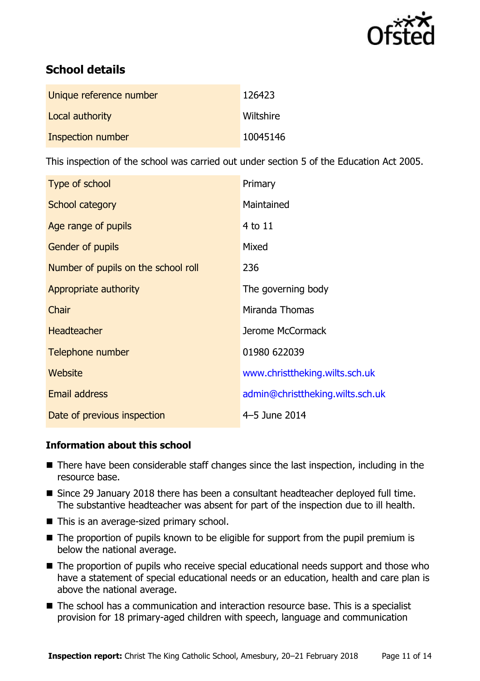

# **School details**

| Unique reference number | 126423    |
|-------------------------|-----------|
| Local authority         | Wiltshire |
| Inspection number       | 10045146  |

This inspection of the school was carried out under section 5 of the Education Act 2005.

| Type of school                      | Primary                          |
|-------------------------------------|----------------------------------|
| School category                     | Maintained                       |
| Age range of pupils                 | 4 to 11                          |
| <b>Gender of pupils</b>             | Mixed                            |
| Number of pupils on the school roll | 236                              |
| Appropriate authority               | The governing body               |
| Chair                               | Miranda Thomas                   |
| <b>Headteacher</b>                  | Jerome McCormack                 |
| Telephone number                    | 01980 622039                     |
| Website                             | www.christtheking.wilts.sch.uk   |
| Email address                       | admin@christtheking.wilts.sch.uk |
| Date of previous inspection         | 4-5 June 2014                    |

### **Information about this school**

- There have been considerable staff changes since the last inspection, including in the resource base.
- Since 29 January 2018 there has been a consultant headteacher deployed full time. The substantive headteacher was absent for part of the inspection due to ill health.
- This is an average-sized primary school.
- The proportion of pupils known to be eligible for support from the pupil premium is below the national average.
- The proportion of pupils who receive special educational needs support and those who have a statement of special educational needs or an education, health and care plan is above the national average.
- The school has a communication and interaction resource base. This is a specialist provision for 18 primary-aged children with speech, language and communication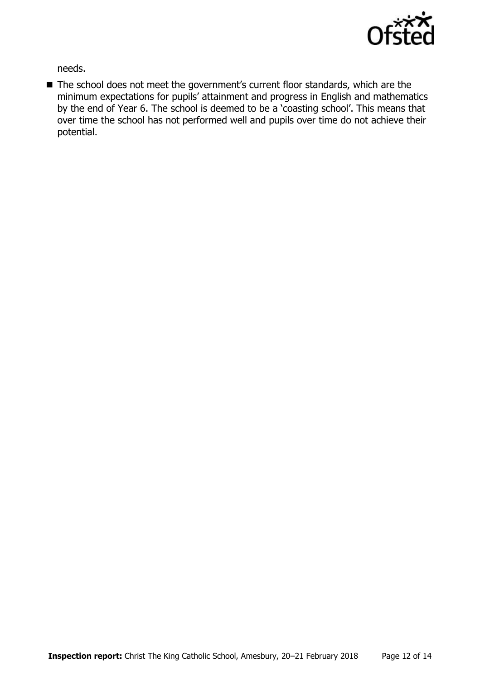

needs.

■ The school does not meet the government's current floor standards, which are the minimum expectations for pupils' attainment and progress in English and mathematics by the end of Year 6. The school is deemed to be a 'coasting school'. This means that over time the school has not performed well and pupils over time do not achieve their potential.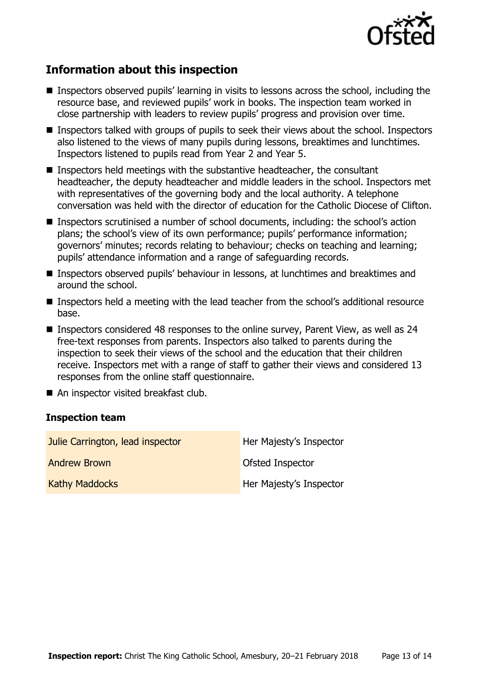

# **Information about this inspection**

- Inspectors observed pupils' learning in visits to lessons across the school, including the resource base, and reviewed pupils' work in books. The inspection team worked in close partnership with leaders to review pupils' progress and provision over time.
- Inspectors talked with groups of pupils to seek their views about the school. Inspectors also listened to the views of many pupils during lessons, breaktimes and lunchtimes. Inspectors listened to pupils read from Year 2 and Year 5.
- **Inspectors held meetings with the substantive headteacher, the consultant** headteacher, the deputy headteacher and middle leaders in the school. Inspectors met with representatives of the governing body and the local authority. A telephone conversation was held with the director of education for the Catholic Diocese of Clifton.
- Inspectors scrutinised a number of school documents, including: the school's action plans; the school's view of its own performance; pupils' performance information; governors' minutes; records relating to behaviour; checks on teaching and learning; pupils' attendance information and a range of safeguarding records.
- Inspectors observed pupils' behaviour in lessons, at lunchtimes and breaktimes and around the school.
- Inspectors held a meeting with the lead teacher from the school's additional resource base.
- Inspectors considered 48 responses to the online survey, Parent View, as well as 24 free-text responses from parents. Inspectors also talked to parents during the inspection to seek their views of the school and the education that their children receive. Inspectors met with a range of staff to gather their views and considered 13 responses from the online staff questionnaire.
- An inspector visited breakfast club.

#### **Inspection team**

| Julie Carrington, lead inspector | Her Majesty's Inspector |
|----------------------------------|-------------------------|
| <b>Andrew Brown</b>              | Ofsted Inspector        |
| <b>Kathy Maddocks</b>            | Her Majesty's Inspector |